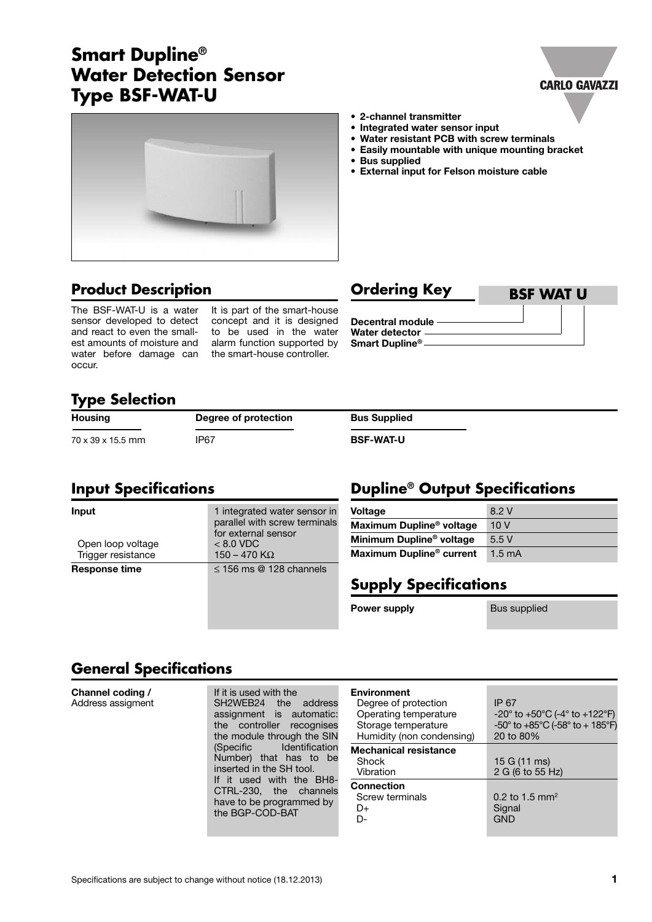# **Smart Dupline® Water Detection Sensor Type BSF-WAT-U**



# **Product Description Ordering Key**

The BSF-WAT-U is a water sensor developed to detect and react to even the smallest amounts of moisture and water before damage can occur.

It is part of the smart-house concept and it is designed to be used in the water alarm function supported by the smart-house controller.

- **• 2-channel transmitter**
- **• Integrated water sensor input**
- **• Water resistant PCB with screw terminals**
- **• Easily mountable with unique mounting bracket**

**Dupline® Output Specifications**

- **• Bus supplied**
- **• External input for Felson moisture cable**

**BSF WAT U**

**CARLO GAVAZZI** 

**Decentral module Water detector Smart Dupline®**

## **Type Selection**

| <b>Housing</b>    | Degree of protection | <b>Bus Supplied</b> |
|-------------------|----------------------|---------------------|
| 70 x 39 x 15.5 mm | IP <sub>67</sub>     | <b>BSF-WAT-U</b>    |

## **Input Specifications**

| Input<br>Open loop voltage<br>Trigger resistance | 1 integrated water sensor in       | <b>Voltage</b>                       | 8.2 V            |
|--------------------------------------------------|------------------------------------|--------------------------------------|------------------|
|                                                  | parallel with screw terminals      | Maximum Dupline <sup>®</sup> voltage | 10V              |
|                                                  | for external sensor<br>$< 8.0$ VDC | Minimum Dupline <sup>®</sup> voltage | 5.5V             |
|                                                  | 150 – 470 K $\Omega$               | Maximum Dupline <sup>®</sup> current | $1.5 \text{ mA}$ |
| <b>Response time</b>                             | $\leq$ 156 ms @ 128 channels       |                                      |                  |
|                                                  |                                    | <b>Supply Specifications</b>         |                  |
|                                                  |                                    |                                      |                  |

**Power supply Bus supplied** 

# **General Specifications**

| Channel coding /<br>Address assigment | If it is used with the<br>address<br>SH2WEB24<br>the<br>assignment is automatic:<br>the controller recognises<br>the module through the SIN<br>Identification<br>(Specific<br>Number) that has to be<br>inserted in the SH tool.<br>If it used with the BH8-<br>CTRL-230, the channels<br>have to be programmed by<br>the BGP-COD-BAT | Environment<br>Degree of protection<br>Operating temperature<br>Storage temperature<br>Humidity (non condensing) | IP 67<br>$-20^{\circ}$ to $+50^{\circ}$ C (-4 $^{\circ}$ to $+122^{\circ}$ F)<br>$-50^{\circ}$ to $+85^{\circ}$ C (-58 $^{\circ}$ to + 185 $^{\circ}$ F)<br>20 to 80% |
|---------------------------------------|---------------------------------------------------------------------------------------------------------------------------------------------------------------------------------------------------------------------------------------------------------------------------------------------------------------------------------------|------------------------------------------------------------------------------------------------------------------|-----------------------------------------------------------------------------------------------------------------------------------------------------------------------|
|                                       |                                                                                                                                                                                                                                                                                                                                       | <b>Mechanical resistance</b><br>Shock<br>Vibration                                                               | 15 G $(11 \text{ ms})$<br>2 G (6 to 55 Hz)                                                                                                                            |
|                                       |                                                                                                                                                                                                                                                                                                                                       | <b>Connection</b><br>Screw terminals<br>D+<br>D-                                                                 | 0.2 to 1.5 mm <sup>2</sup><br>Signal<br><b>GND</b>                                                                                                                    |